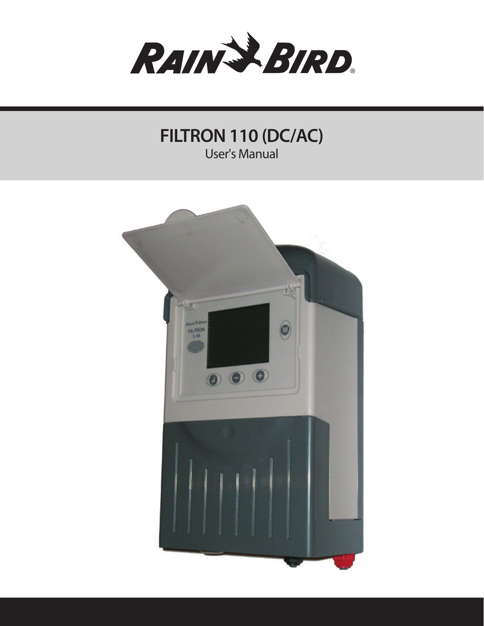

**FILTRON 110 (DC/AC)** User's Manual

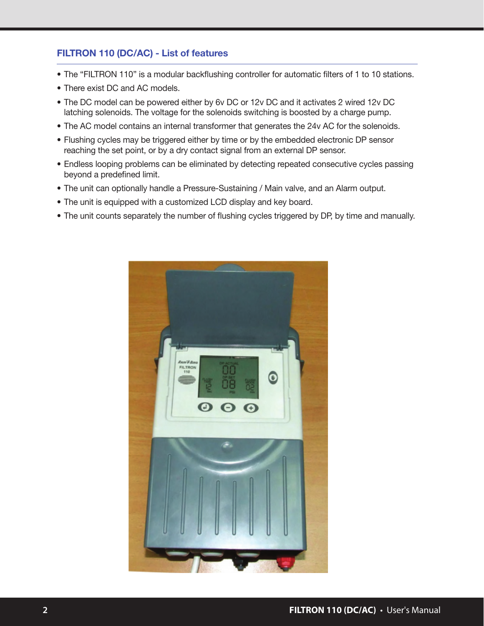# FILTRON 110 (DC/AC) - List of features

- The "FILTRON 110" is a modular backflushing controller for automatic filters of 1 to 10 stations.
- There exist DC and AC models.
- The DC model can be powered either by 6y DC or 12y DC and it activates 2 wired 12y DC latching solenoids. The voltage for the solenoids switching is boosted by a charge pump.
- The AC model contains an internal transformer that generates the 24v AC for the solenoids.
- Flushing cycles may be triggered either by time or by the embedded electronic DP sensor reaching the set point, or by a dry contact signal from an external DP sensor.
- Endless looping problems can be eliminated by detecting repeated consecutive cycles passing beyond a predefined limit.
- The unit can optionally handle a Pressure-Sustaining / Main valve, and an Alarm output.
- The unit is equipped with a customized LCD display and key board.
- The unit counts separately the number of flushing cycles triggered by DP, by time and manually.

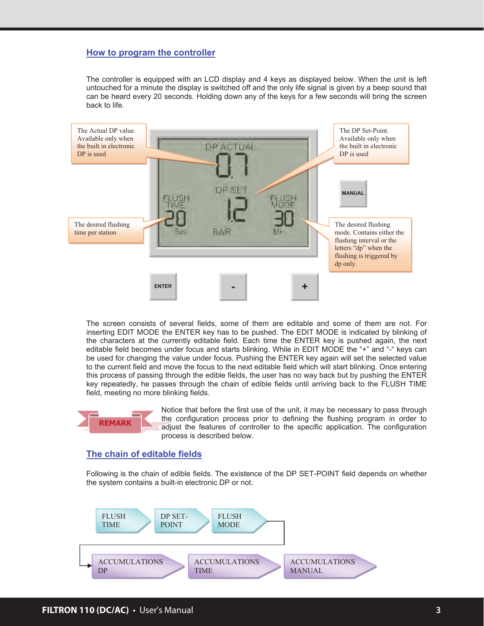#### **How to program the controller**

The controller is equipped with an LCD display and 4 keys as displayed below. When the unit is left untouched for a minute the display is switched off and the only life signal is given by a beep sound that can be heard every 20 seconds. Holding down any of the keys for a few seconds will bring the screen back to life.



The screen consists of several fields, some of them are editable and some of them are not. For inserting EDIT MODE the ENTER key has to be pushed. The EDIT MODE is indicated by blinking of the characters at the currently editable field. Each time the ENTER key is pushed again, the next editable field becomes under focus and starts blinking. While in EDIT MODE the "+" and "-" keys can be used for changing the value under focus. Pushing the ENTER key again will set the selected value to the current field and move the focus to the next editable field which will start blinking. Once entering this process of passing through the edible fields, the user has no way back but by pushing the ENTER key repeatedly, he passes through the chain of edible fields until arriving back to the FLUSH TIME field, meeting no more blinking fields.



Notice that before the first use of the unit, it may be necessary to pass through the configuration process prior to defining the flushing program in order to adjust the features of controller to the specific application. The configuration process is described below.

#### **The chain of editable fields**

Following is the chain of edible fields. The existence of the DP SET-POINT field depends on whether the system contains a built-in electronic DP or not.

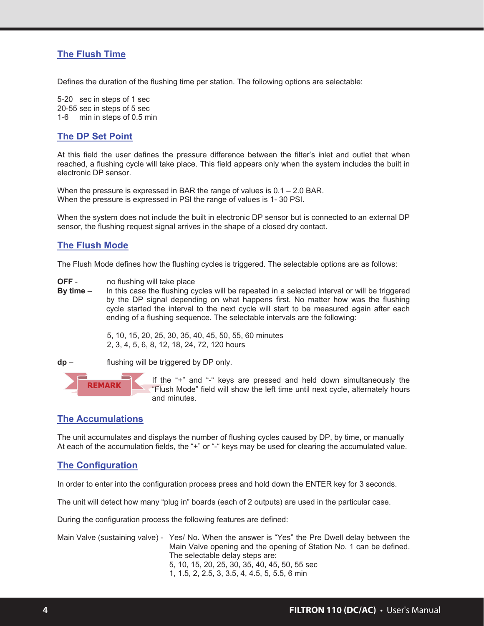# **The Flush Time**

Defines the duration of the flushing time per station. The following options are selectable:

5-20 sec in steps of 1 sec 20-55 sec in steps of 5 sec 1-6 min in steps of 0.5 min

# **The DP Set Point**

At this field the user defines the pressure difference between the filter's inlet and outlet that when reached, a flushing cycle will take place. This field appears only when the system includes the built in electronic DP sensor.

When the pressure is expressed in BAR the range of values is 0.1 – 2.0 BAR. When the pressure is expressed in PSI the range of values is 1- 30 PSI.

When the system does not include the built in electronic DP sensor but is connected to an external DP sensor, the flushing request signal arrives in the shape of a closed dry contact.

# **The Flush Mode**

The Flush Mode defines how the flushing cycles is triggered. The selectable options are as follows:

- **OFF** no flushing will take place<br>**By time** In this case the flushing cy
- In this case the flushing cycles will be repeated in a selected interval or will be triggered by the DP signal depending on what happens first. No matter how was the flushing cycle started the interval to the next cycle will start to be measured again after each ending of a flushing sequence. The selectable intervals are the following:

5, 10, 15, 20, 25, 30, 35, 40, 45, 50, 55, 60 minutes 2, 3, 4, 5, 6, 8, 12, 18, 24, 72, 120 hours

**dp** – flushing will be triggered by DP only.



If the "+" and "-" keys are pressed and held down simultaneously the "Flush Mode" field will show the left time until next cycle, alternately hours and minutes.

#### **The Accumulations**

The unit accumulates and displays the number of flushing cycles caused by DP, by time, or manually At each of the accumulation fields, the "+" or "-" keys may be used for clearing the accumulated value.

# **The Configuration**

In order to enter into the configuration process press and hold down the ENTER key for 3 seconds.

The unit will detect how many "plug in" boards (each of 2 outputs) are used in the particular case.

During the configuration process the following features are defined:

Main Valve (sustaining valve) - Yes/ No. When the answer is "Yes" the Pre Dwell delay between the Main Valve opening and the opening of Station No. 1 can be defined. The selectable delay steps are: 5, 10, 15, 20, 25, 30, 35, 40, 45, 50, 55 sec 1, 1.5, 2, 2.5, 3, 3.5, 4, 4.5, 5, 5.5, 6 min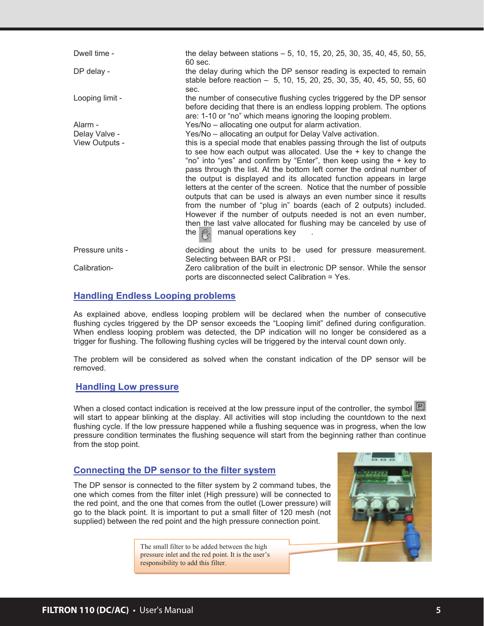| Dwell time -     | the delay between stations – 5, 10, 15, 20, 25, 30, 35, 40, 45, 50, 55,<br>60 sec.                                                                                                                                                                                                                                                                                                                                                                                                                                                                                                                                                                                                                                                                                                     |
|------------------|----------------------------------------------------------------------------------------------------------------------------------------------------------------------------------------------------------------------------------------------------------------------------------------------------------------------------------------------------------------------------------------------------------------------------------------------------------------------------------------------------------------------------------------------------------------------------------------------------------------------------------------------------------------------------------------------------------------------------------------------------------------------------------------|
| DP delay -       | the delay during which the DP sensor reading is expected to remain<br>stable before reaction - 5, 10, 15, 20, 25, 30, 35, 40, 45, 50, 55, 60<br>sec.                                                                                                                                                                                                                                                                                                                                                                                                                                                                                                                                                                                                                                   |
| Looping limit -  | the number of consecutive flushing cycles triggered by the DP sensor<br>before deciding that there is an endless lopping problem. The options<br>are: 1-10 or "no" which means ignoring the looping problem.                                                                                                                                                                                                                                                                                                                                                                                                                                                                                                                                                                           |
| Alarm -          | Yes/No – allocating one output for alarm activation.                                                                                                                                                                                                                                                                                                                                                                                                                                                                                                                                                                                                                                                                                                                                   |
| Delay Valve -    | Yes/No – allocating an output for Delay Valve activation.                                                                                                                                                                                                                                                                                                                                                                                                                                                                                                                                                                                                                                                                                                                              |
| View Outputs -   | this is a special mode that enables passing through the list of outputs<br>to see how each output was allocated. Use the $+$ key to change the<br>"no" into "yes" and confirm by "Enter", then keep using the + key to<br>pass through the list. At the bottom left corner the ordinal number of<br>the output is displayed and its allocated function appears in large<br>letters at the center of the screen. Notice that the number of possible<br>outputs that can be used is always an even number since it results<br>from the number of "plug in" boards (each of 2 outputs) included.<br>However if the number of outputs needed is not an even number,<br>then the last valve allocated for flushing may be canceled by use of<br>manual operations key<br>the $\mathbb{M}_n$ |
| Pressure units - | deciding about the units to be used for pressure measurement.<br>Selecting between BAR or PSI.                                                                                                                                                                                                                                                                                                                                                                                                                                                                                                                                                                                                                                                                                         |
| Calibration-     | Zero calibration of the built in electronic DP sensor. While the sensor<br>ports are disconnected select Calibration = Yes.                                                                                                                                                                                                                                                                                                                                                                                                                                                                                                                                                                                                                                                            |

# **Handling Endless Looping problems**

As explained above, endless looping problem will be declared when the number of consecutive flushing cycles triggered by the DP sensor exceeds the "Looping limit" defined during configuration. When endless looping problem was detected, the DP indication will no longer be considered as a trigger for flushing. The following flushing cycles will be triggered by the interval count down only.

The problem will be considered as solved when the constant indication of the DP sensor will be removed.

# **Handling Low pressure**

When a closed contact indication is received at the low pressure input of the controller, the symbol  $\mathbb{R}$ will start to appear blinking at the display. All activities will stop including the countdown to the next flushing cycle. If the low pressure happened while a flushing sequence was in progress, when the low pressure condition terminates the flushing sequence will start from the beginning rather than continue from the stop point.

### **Connecting the DP sensor to the filter system**

The DP sensor is connected to the filter system by 2 command tubes, the one which comes from the filter inlet (High pressure) will be connected to the red point, and the one that comes from the outlet (Lower pressure) will go to the black point. It is important to put a small filter of 120 mesh (not supplied) between the red point and the high pressure connection point.

> The small filter to be added between the high pressure inlet and the red point. It is the user's responsibility to add this filter.

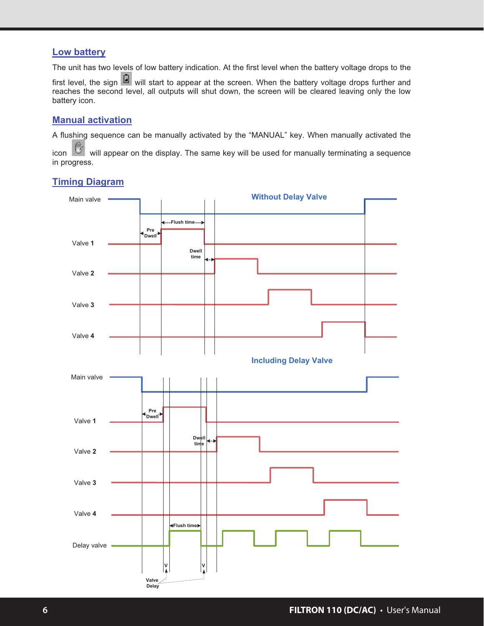# **Low battery**

The unit has two levels of low battery indication. At the first level when the battery voltage drops to the

first level, the sign  $\Box$  will start to appear at the screen. When the battery voltage drops further and reaches the second level, all outputs will shut down, the screen will be cleared leaving only the low battery icon.

# **Manual activation**

A flushing sequence can be manually activated by the "MANUAL" key. When manually activated the

icon will appear on the display. The same key will be used for manually terminating a sequence in progress.

# **Timing Diagram**

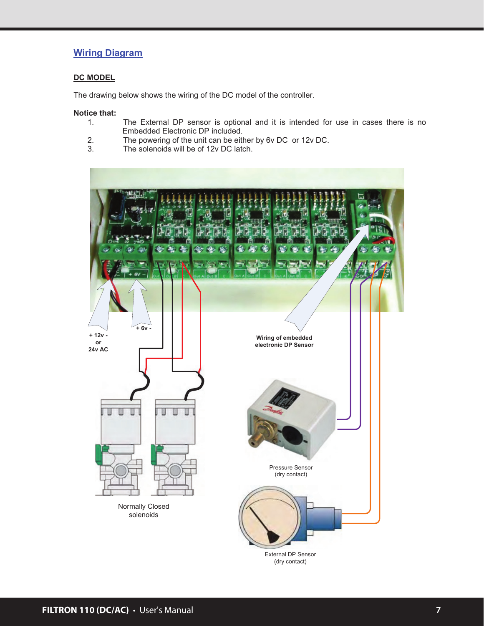# **Wiring Diagram**

#### **DC MODEL**

The drawing below shows the wiring of the DC model of the controller.

# **Notice that:**

- The External DP sensor is optional and it is intended for use in cases there is no Embedded Electronic DP included.
- 2. The powering of the unit can be either by 6v DC or 12v DC.<br>3. The solenoids will be of 12v DC latch.
- The solenoids will be of 12v DC latch.



External DP Sensor (dry contact)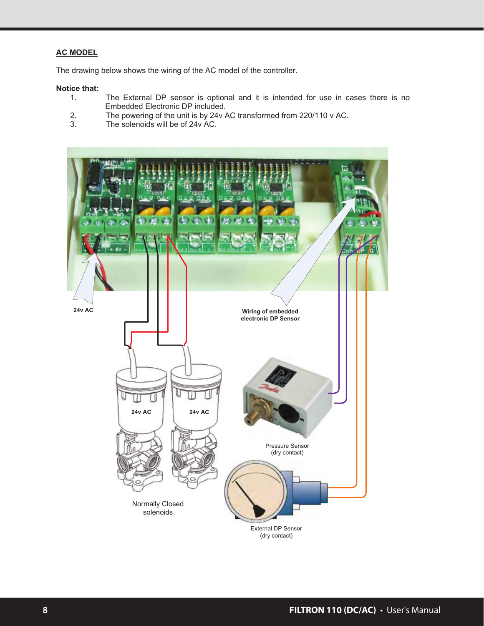### **AC MODEL**

The drawing below shows the wiring of the AC model of the controller.

# **Notice that:**

- The External DP sensor is optional and it is intended for use in cases there is no Embedded Electronic DP included.
- 2. The powering of the unit is by 24v AC transformed from 220/110 v AC.<br>3. The solenoids will be of 24v AC.
- The solenoids will be of 24v AC.

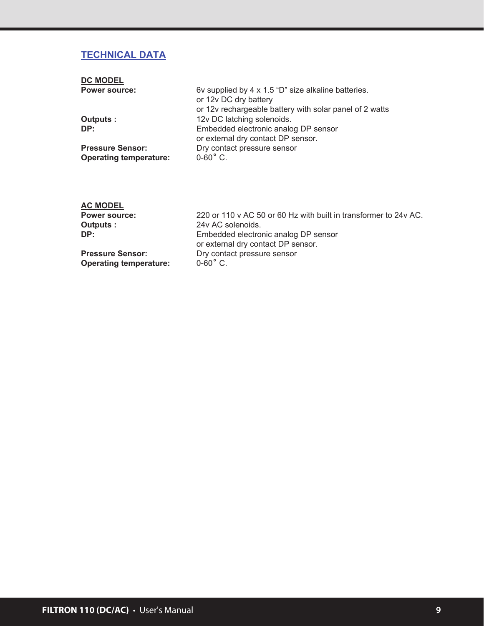# **TECHNICAL DATA**

| <b>DC MODEL</b>                                          |                                                                                                                                         |
|----------------------------------------------------------|-----------------------------------------------------------------------------------------------------------------------------------------|
| <b>Power source:</b>                                     | 6v supplied by 4 x 1.5 "D" size alkaline batteries.<br>or 12v DC dry battery<br>or 12v rechargeable battery with solar panel of 2 watts |
| Outputs :                                                | 12v DC latching solenoids.                                                                                                              |
| DP:                                                      | Embedded electronic analog DP sensor<br>or external dry contact DP sensor.                                                              |
| <b>Pressure Sensor:</b><br><b>Operating temperature:</b> | Dry contact pressure sensor<br>$0 - 60$ °C.                                                                                             |

# **AC MODEL**

| <b>Power source:</b>          | 220 or 110 v AC 50 or 60 Hz with built in transformer to 24y AC. |
|-------------------------------|------------------------------------------------------------------|
| Outputs :                     | 24v AC solenoids.                                                |
| DP:                           | Embedded electronic analog DP sensor                             |
|                               | or external dry contact DP sensor.                               |
| <b>Pressure Sensor:</b>       | Dry contact pressure sensor                                      |
| <b>Operating temperature:</b> | $0 - 60^\circ$ C.                                                |
|                               |                                                                  |